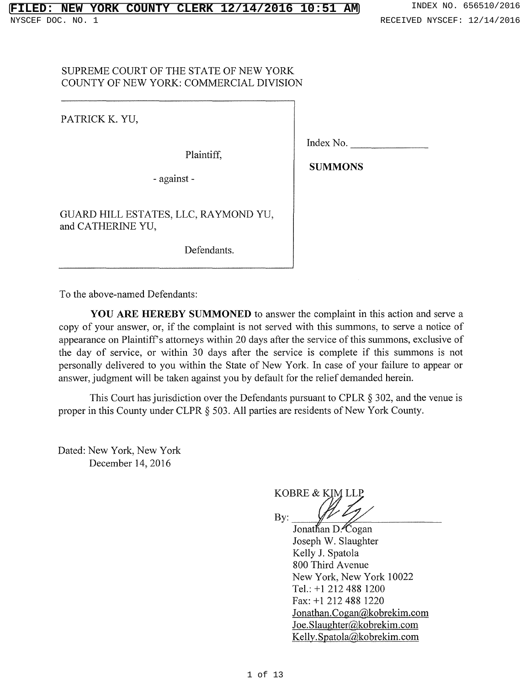# SUPREME COURT OF THE STATE OF NEW YORK COUNTY OF NEW YORK: COMMERCIAL DIVISION

PATRICK K. YU,

Plaintiff,

- against -

Index No.

**SUMMONS** 

GUARD HILL ESTATES, LLC, RAYMOND YU, and CATHERINE YU,

Defendants.

To the above-named Defendants:

**YOU ARE HEREBY SUMMONED** to answer the complaint in this action and serve a copy of your answer, or, if the complaint is not served with this summons, to serve a notice of appearance on Plaintiff's attorneys within 20 days after the service of this summons, exclusive of the day of service, or within 30 days after the service is complete if this summons is not personally delivered to you within the State of New York. In case of your failure to appear or answer, judgment will be taken against you by default for the relief demanded herein.

This Court has jurisdiction over the Defendants pursuant to CPLR § 302, and the venue is proper in this County under CLPR  $\S$  503. All parties are residents of New York County.

Dated: New York, New York December 14, 2016

KOBRE & **KIM** LLP **By:** 

Jonathan D. Cogan Joseph W. Slaughter Kelly J. Spatola 800 Third A venue New York, New York 10022 Tel.: +1 212 488 1200 Fax: +1 212 488 1220 Jonathan.Cogan@kobrekim.com Joe.Slaughter(@kobrekim.com Kelly.Spatola@kobrekim.com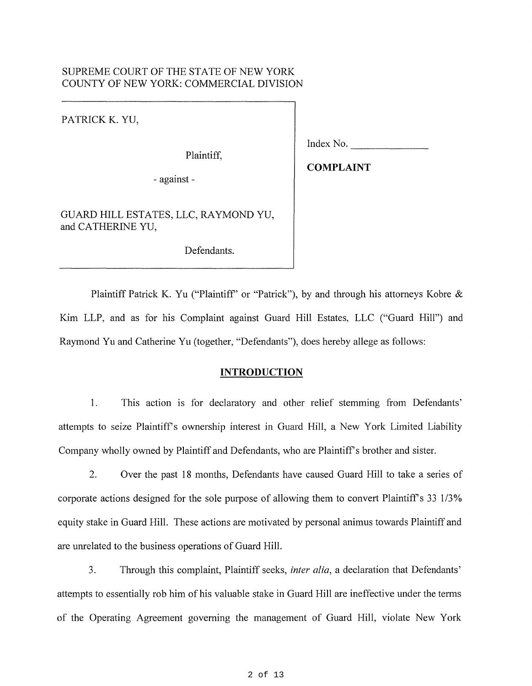### SUPREME COURT OF THE STATE OF NEW YORK COUNTY OF NEW YORK: COMMERCIAL DIVISION

PATRICK K. YU,

Plaintiff,

Index No.

- against -

**COMPLAINT** 

GUARD HILL ESTATES, LLC, RAYMOND YU, and CATHERINE YU,

Defendants.

Plaintiff Patrick K. Yu ("Plaintiff" or "Patrick"), by and through his attorneys Kobre & Kim LLP, and as for his Complaint against Guard Hill Estates, LLC ("Guard Hill") and Raymond Yu and Catherine Yu (together, "Defendants"), does hereby allege as follows:

### **INTRODUCTION**

1. This action is for declaratory and other relief stemming from Defendants' attempts to seize Plaintiffs ownership interest in Guard Hill, a New York Limited Liability Company wholly owned by Plaintiff and Defendants, who are Plaintiff's brother and sister.

2. Over the past 18 months, Defendants have caused Guard Hill to take a series of corporate actions designed for the sole purpose of allowing them to convert Plaintiff's 33 1/3% equity stake in Guard Hill. These actions are motivated by personal animus towards Plaintiff and are unrelated to the business operations of Guard Hill.

3. Through this complaint, Plaintiff seeks, *inter alia,* a declaration that Defendants' attempts to essentially rob him of his valuable stake in Guard Hill are ineffective under the terms of the Operating Agreement governing the management of Guard Hill, violate New York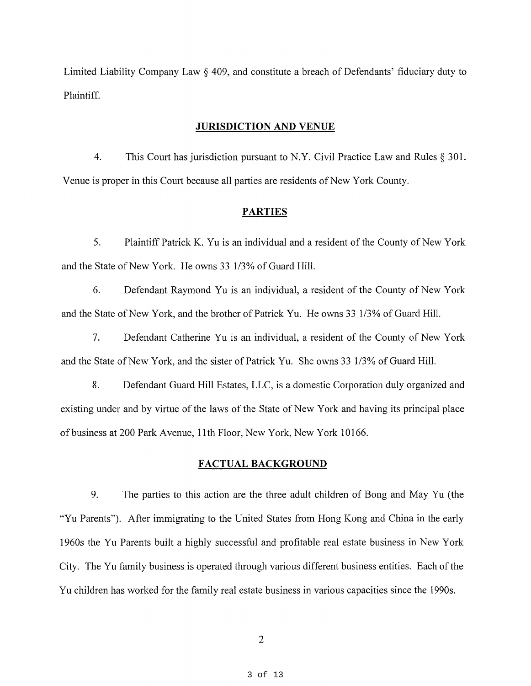Limited Liability Company Law§ 409, and constitute a breach of Defendants' fiduciary duty to Plaintiff.

#### **JURISDICTION AND VENUE**

4. This Court has jurisdiction pursuant to N.Y. Civil Practice Law and Rules  $\S 301$ . Venue is proper in this Court because all parties are residents of New York County.

#### **PARTIES**

5. Plaintiff Patrick K. Yu is an individual and a resident of the County of New York and the State of New York. He owns 33 1/3% of Guard Hill.

6. Defendant Raymond Yu is an individual, a resident of the County of New York and the State of New York, and the brother of Patrick Yu. He owns 33 1/3% of Guard Hill.

7. Defendant Catherine Yu is an individual, a resident of the County of New York and the State of New York, and the sister of Patrick Yu. She owns 33 1/3% of Guard Hill.

8. Defendant Guard Hill Estates, LLC, is a domestic Corporation duly organized and existing under and by virtue of the laws of the State of New York and having its principal place of business at 200 Park Avenue, 11th Floor, New York, New York 10166.

### **FACTUAL BACKGROUND**

9. The parties to this action are the three adult children of Bong and May Yu (the "Yu Parents"). After immigrating to the United States from Hong Kong and China in the early 1960s the Yu Parents built a highly successful and profitable real estate business in New York City. The Yu family business is operated through various different business entities. Each of the Yu children has worked for the family real estate business in various capacities since the 1990s.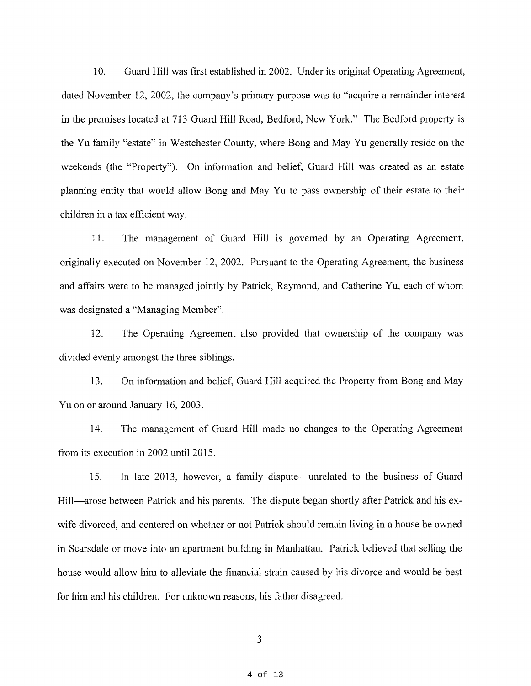10. Guard Hill was first established in 2002. Under its original Operating Agreement, dated November 12, 2002, the company's primary purpose was to "acquire a remainder interest in the premises located at 713 Guard Hill Road, Bedford, New York." The Bedford property is the Yu family "estate" in Westchester County, where Bong and May Yu generally reside on the weekends (the "Property"). On information and belief, Guard Hill was created as an estate planning entity that would allow Bong and May Yu to pass ownership of their estate to their children in a tax efficient way.

11. The management of Guard Hill is governed by an Operating Agreement, originally executed on November 12, 2002. Pursuant to the Operating Agreement, the business and affairs were to be managed jointly by Patrick, Raymond, and Catherine Yu, each of whom was designated a "Managing Member".

12. The Operating Agreement also provided that ownership of the company was divided evenly amongst the three siblings.

13. On information and belief, Guard Hill acquired the Property from Bong and May Yu on or around January 16, 2003.

14. The management of Guard Hill made no changes to the Operating Agreement from its execution in 2002 until 2015.

15. In late 2013, however, a family dispute—unrelated to the business of Guard Hill—arose between Patrick and his parents. The dispute began shortly after Patrick and his exwife divorced, and centered on whether or not Patrick should remain living in a house he owned in Scarsdale or move into an apartment building in Manhattan. Patrick believed that selling the house would allow him to alleviate the financial strain caused by his divorce and would be best for him and his children. For unknown reasons, his father disagreed.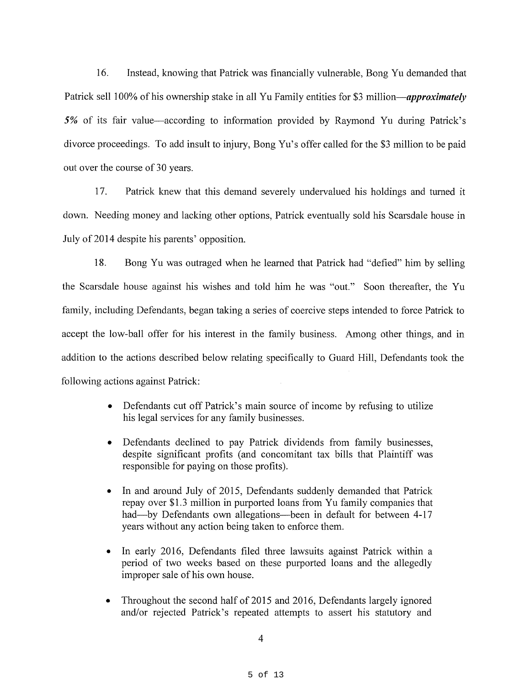16. Instead, knowing that Patrick was financially vulnerable, Bong Yu demanded that Patrick sell 100% of his ownership stake in all Yu Family entities for \$3 *million-approximately*  5% of its fair value—according to information provided by Raymond Yu during Patrick's divorce proceedings. To add insult to injury, Bong Yu's offer called for the \$3 million to be paid out over the course of 30 years.

17. Patrick knew that this demand severely undervalued his holdings and turned it down. Needing money and lacking other options, Patrick eventually sold his Scarsdale house in July of 2014 despite his parents' opposition.

18. Bong Yu was outraged when he learned that Patrick had "defied" him by selling the Scarsdale house against his wishes and told him he was "out." Soon thereafter, the Yu family, including Defendants, began taking a series of coercive steps intended to force Patrick to accept the low-ball offer for his interest in the family business. Among other things, and in addition to the actions described below relating specifically to Guard Hill, Defendants took the following actions against Patrick:

- Defendants cut off Patrick's main source of income by refusing to utilize his legal services for any family businesses.
- Defendants declined to pay Patrick dividends from family businesses, despite significant profits (and concomitant tax bills that Plaintiff was responsible for paying on those profits).
- In and around July of 2015, Defendants suddenly demanded that Patrick repay over \$1.3 million in purported loans from Yu family companies that had-by Defendants own allegations-been in default for between 4-17 years without any action being taken to enforce them.
- In early 2016, Defendants filed three lawsuits against Patrick within a period of two weeks based on these purported loans and the allegedly improper sale of his own house.
- Throughout the second half of 2015 and 2016, Defendants largely ignored and/or rejected Patrick's repeated attempts to assert his statutory and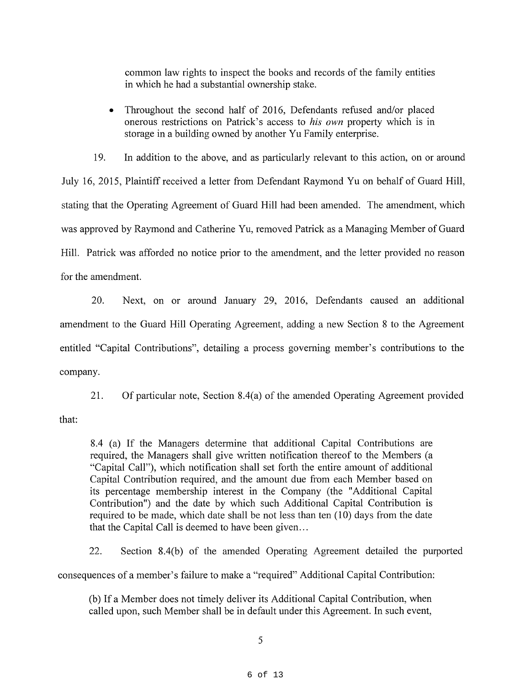common law rights to inspect the books and records of the family entities in which he had a substantial ownership stake.

• Throughout the second half of 2016, Defendants refused and/or placed onerous restrictions on Patrick's access to *his own* property which is in storage in a building owned by another Yu Family enterprise.

19. In addition to the above, and as particularly relevant to this action, on or around July 16, 2015, Plaintiff received a letter from Defendant Raymond Yu on behalf of Guard Hill, stating that the Operating Agreement of Guard Hill had been amended. The amendment, which was approved by Raymond and Catherine Yu, removed Patrick as a Managing Member of Guard Hill. Patrick was afforded no notice prior to the amendment, and the letter provided no reason for the amendment.

20. Next, on or around January 29, 2016, Defendants caused an additional amendment to the Guard Hill Operating Agreement, adding a new Section 8 to the Agreement entitled "Capital Contributions", detailing a process governing member's contributions to the company.

that: 21. Of particular note, Section 8.4(a) of the amended Operating Agreement provided

8.4 (a) If the Managers determine that additional Capital Contributions are required, the Managers shall give written notification thereof to the Members ( a "Capital Call"), which notification shall set forth the entire amount of additional Capital Contribution required, and the amount due from each Member based on its percentage membership interest in the Company (the "Additional Capital Contribution") and the date by which such Additional Capital Contribution is required to be made, which date shall be not less than ten (10) days from the date that the Capital Call is deemed to have been given...

22. Section 8.4(b) of the amended Operating Agreement detailed the purported consequences of a member's failure to make a "required" Additional Capital Contribution:

(b) If a Member does not timely deliver its Additional Capital Contribution, when called upon, such Member shall be in default under this Agreement. In such event,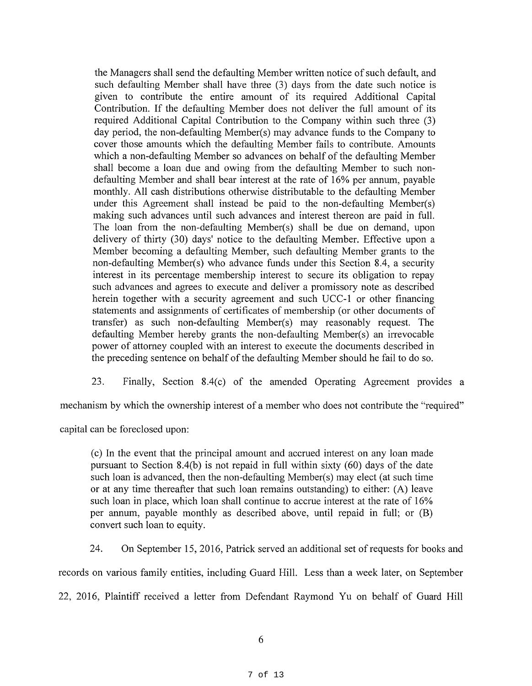the Managers shall send the defaulting Member written notice of such default, and such defaulting Member shall have three (3) days from the date such notice is given to contribute the entire amount of its required Additional Capital Contribution. If the defaulting Member does not deliver the full amount of its required Additional Capital Contribution to the Company within such three (3) day period, the non-defaulting Member(s) may advance funds to the Company to cover those amounts which the defaulting Member fails to contribute. Amounts which a non-defaulting Member so advances on behalf of the defaulting Member shall become a loan due and owing from the defaulting Member to such nondefaulting Member and shall bear interest at the rate of 16% per annum, payable monthly. All cash distributions otherwise distributable to the defaulting Member under this Agreement shall instead be paid to the non-defaulting Member(s) making such advances until such advances and interest thereon are paid in full. The loan from the non-defaulting Member(s) shall be due on demand, upon delivery of thirty (30) days' notice to the defaulting Member. Effective upon a Member becoming a defaulting Member, such defaulting Member grants to the non-defaulting Member(s) who advance funds under this Section 8.4, a security interest in its percentage membership interest to secure its obligation to repay such advances and agrees to execute and deliver a promissory note as described herein together with a security agreement and such UCC-1 or other financing statements and assignments of certificates of membership (or other documents of transfer) as such non-defaulting Member(s) may reasonably request. The defaulting Member hereby grants the non-defaulting Member(s) an irrevocable power of attorney coupled with an interest to execute the documents described in the preceding sentence on behalf of the defaulting Member should he fail to do so.

23. Finally, Section 8.4(c) of the amended Operating Agreement provides a

mechanism by which the ownership interest of a member who does not contribute the "required"

capital can be foreclosed upon:

( c) In the event that the principal amount and accrued interest on any loan made pursuant to Section 8.4(b) is not repaid in full within sixty (60) days of the date such loan is advanced, then the non-defaulting Member(s) may elect (at such time or at any time thereafter that such loan remains outstanding) to either: (A) leave such loan in place, which loan shall continue to accrue interest at the rate of 16% per annum, payable monthly as described above, until repaid in full; or (B) convert such loan to equity.

24. On September 15, 2016, Patrick served an additional set ofrequests for books and

records on various family entities, including Guard Hill. Less than a week later, on September

22, 2016, Plaintiff received a letter from Defendant Raymond Yu on behalf of Guard Hill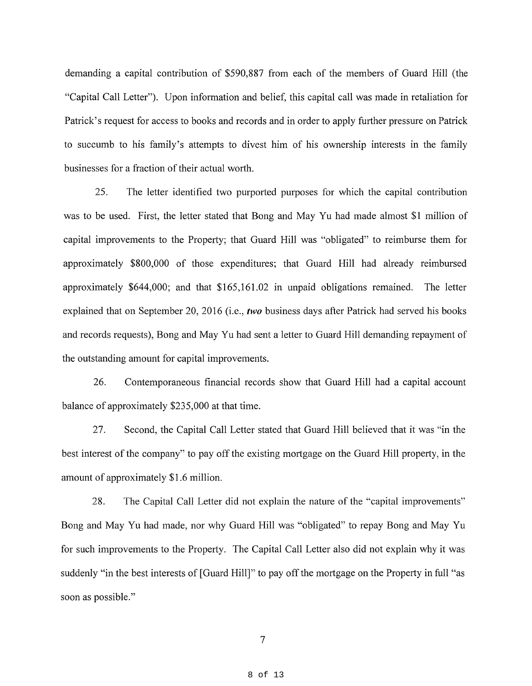demanding a capital contribution of \$590,887 from each of the members of Guard Hill (the "Capital Call Letter"). Upon information and belief, this capital call was made in retaliation for Patrick's request for access to books and records and in order to apply further pressure on Patrick to succumb to his family's attempts to divest him of his ownership interests in the family businesses for a fraction of their actual worth.

25. The letter identified two purported purposes for which the capital contribution was to be used. First, the letter stated that Bong and May Yu had made almost \$1 million of capital improvements to the Property; that Guard Hill was "obligated" to reimburse them for approximately \$800,000 of those expenditures; that Guard Hill had already reimbursed approximately \$644,000; and that \$165,161.02 in unpaid obligations remained. The letter explained that on September 20, 2016 (i.e., *two* business days after Patrick had served his books and records requests), Bong and May Yu had sent a letter to Guard Hill demanding repayment of the outstanding amount for capital improvements.

26. Contemporaneous financial records show that Guard Hill had a capital account balance of approximately \$235,000 at that time.

27. Second, the Capital Call Letter stated that Guard Hill believed that it was "in the best interest of the company" to pay off the existing mortgage on the Guard Hill property, in the amount of approximately \$1.6 million.

28. The Capital Call Letter did not explain the nature of the "capital improvements" Bong and May Yu had made, nor why Guard Hill was "obligated" to repay Bong and May Yu for such improvements to the Property. The Capital Call Letter also did not explain why it was suddenly "in the best interests of [Guard Hill]" to pay off the mortgage on the Property in full "as soon as possible."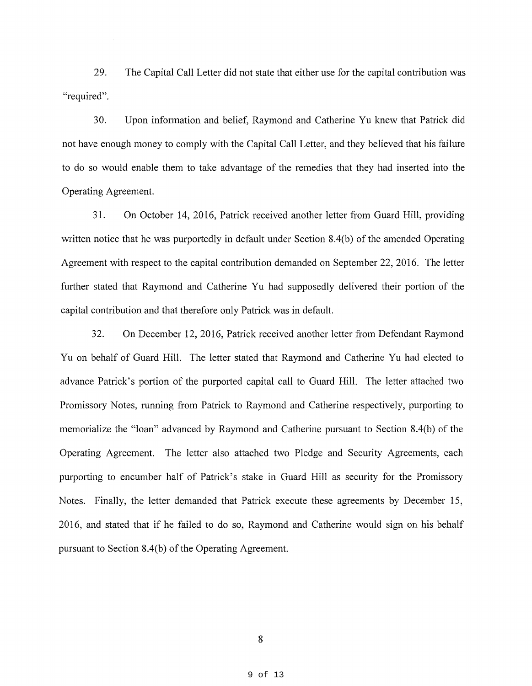29. The Capital Call Letter did not state that either use for the capital contribution was "required".

30. Upon information and belief, Raymond and Catherine Yu knew that Patrick did not have enough money to comply with the Capital Call Letter, and they believed that his failure to do so would enable them to take advantage of the remedies that they had inserted into the Operating Agreement.

31. On October 14, 2016, Patrick received another letter from Guard Hill, providing written notice that he was purportedly in default under Section  $8.4(b)$  of the amended Operating Agreement with respect to the capital contribution demanded on September 22, 2016. The letter further stated that Raymond and Catherine Yu had supposedly delivered their portion of the capital contribution and that therefore only Patrick was in default.

32. On December 12, 2016, Patrick received another letter from Defendant Raymond Yu on behalf of Guard Hill. The letter stated that Raymond and Catherine Yu had elected to advance Patrick's portion of the purported capital call to Guard Hill. The letter attached two Promissory Notes, running from Patrick to Raymond and Catherine respectively, purporting to memorialize the "loan" advanced by Raymond and Catherine pursuant to Section 8.4(b) of the Operating Agreement. The letter also attached two Pledge and Security Agreements, each purporting to encumber half of Patrick's stake in Guard Hill as security for the Promissory Notes. Finally, the letter demanded that Patrick execute these agreements by December 15, 2016, and stated that if he failed to do so, Raymond and Catherine would sign on his behalf pursuant to Section 8.4(b) of the Operating Agreement.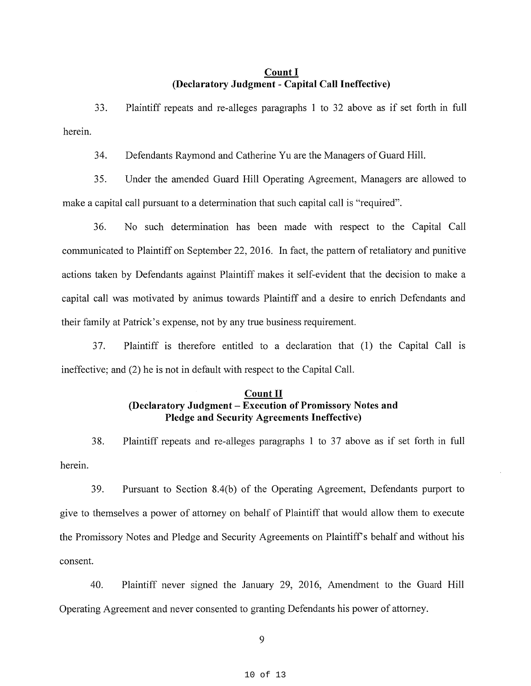#### **Count** I **(Declaratory Judgment** - **Capital Call Ineffective)**

33. Plaintiff repeats and re-alleges paragraphs 1 to 32 above as if set forth in full herein.

34. Defendants Raymond and Catherine Yu are the Managers of Guard Hill.

35. Under the amended Guard Hill Operating Agreement, Managers are allowed to make a capital call pursuant to a determination that such capital call is "required".

36. No such determination has been made with respect to the Capital Call communicated to Plaintiff on September 22, 2016. In fact, the pattern of retaliatory and punitive actions taken by Defendants against Plaintiff makes it self-evident that the decision to make a capital call was motivated by animus towards Plaintiff and a desire to emich Defendants and their family at Patrick's expense, not by any true business requirement.

37. Plaintiff is therefore entitled to a declaration that (1) the Capital Call 1s ineffective; and (2) he is not in default with respect to the Capital Call.

# **Count** II **(Declaratory Judgment** - **Execution of Promissory Notes and Pledge and Security Agreements Ineffective)**

herein. 38. Plaintiff repeats and re-alleges paragraphs 1 to 37 above as if set forth in full

39. Pursuant to Section 8.4(b) of the Operating Agreement, Defendants purport to give to themselves a power of attorney on behalf of Plaintiff that would allow them to execute the Promissory Notes and Pledge and Security Agreements on Plaintiff's behalf and without his consent.

40. Plaintiff never signed the January 29, 2016, Amendment to the Guard Hill Operating Agreement and never consented to granting Defendants his power of attorney.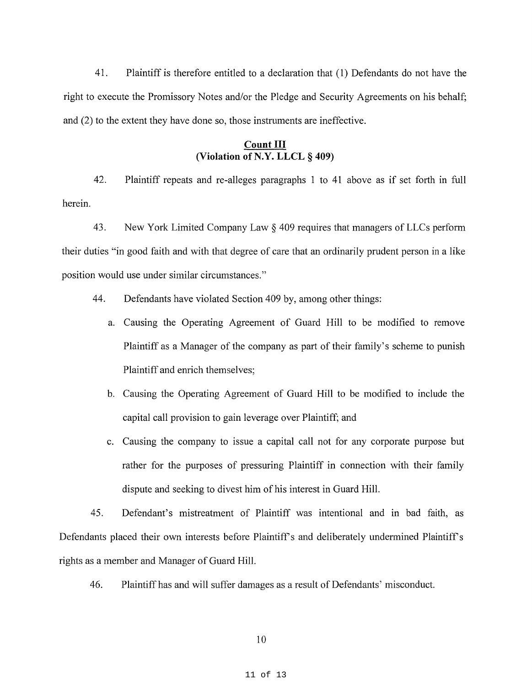41. Plaintiff is therefore entitled to a declaration that (1) Defendants do not have the right to execute the Promissory Notes and/or the Pledge and Security Agreements on his behalf; and (2) to the extent they have done so, those instruments are ineffective.

#### **Count III (Violation ofN.Y. LLCL § 409)**

42. Plaintiff repeats and re-alleges paragraphs 1 to 41 above as if set forth in full herein.

43. New York Limited Company Law§ 409 requires that managers of LLCs perform their duties "in good faith and with that degree of care that an ordinarily prudent person in a like position would use under similar circumstances."

- 44. Defendants have violated Section 409 by, among other things:
	- a. Causing the Operating Agreement of Guard Hill to be modified to remove Plaintiff as a Manager of the company as part of their family's scheme to punish Plaintiff and enrich themselves;
	- b. Causing the Operating Agreement of Guard Hill to be modified to include the capital call provision to gain leverage over Plaintiff; and
	- c. Causing the company to issue a capital call not for any corporate purpose but rather for the purposes of pressuring Plaintiff in connection with their family dispute and seeking to divest him of his interest in Guard Hill.

45. Defendant's mistreatment of Plaintiff was intentional and in bad faith, as Defendants placed their own interests before Plaintiff's and deliberately undermined Plaintiff's rights as a member and Manager of Guard Hill.

46. Plaintiff has and will suffer damages as a result of Defendants' misconduct.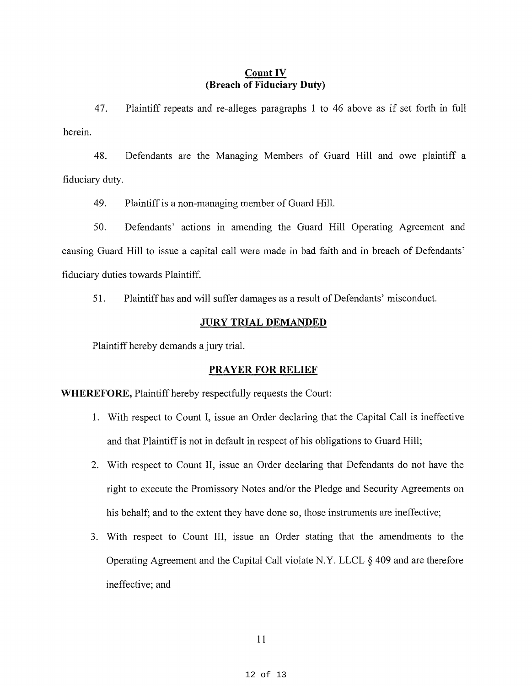# **Count IV (Breach of Fiduciary Duty)**

47. Plaintiff repeats and re-alleges paragraphs 1 to 46 above as if set forth in full herein.

48. Defendants are the Managing Members of Guard Hill and owe plaintiff a fiduciary duty.

49. Plaintiff is a non-managing member of Guard Hill.

50. Defendants' actions in amending the Guard Hill Operating Agreement and causing Guard Hill to issue a capital call were made in bad faith and in breach of Defendants' fiduciary duties towards Plaintiff.

51. Plaintiff has and will suffer damages as a result of Defendants' misconduct.

#### **JURY TRIAL DEMANDED**

Plaintiff hereby demands a jury trial.

#### **PRAYER FOR RELIEF**

**WHEREFORE,** Plaintiff hereby respectfully requests the Court:

- 1. With respect to Count I, issue an Order declaring that the Capital Call is ineffective and that Plaintiff is not in default in respect of his obligations to Guard Hill;
- 2. With respect to Count II, issue an Order declaring that Defendants do not have the right to execute the Promissory Notes and/or the Pledge and Security Agreements on his behalf; and to the extent they have done so, those instruments are ineffective;
- 3. With respect to Count III, issue an Order stating that the amendments to the Operating Agreement and the Capital Call violate N.Y. LLCL § 409 and are therefore ineffective; and